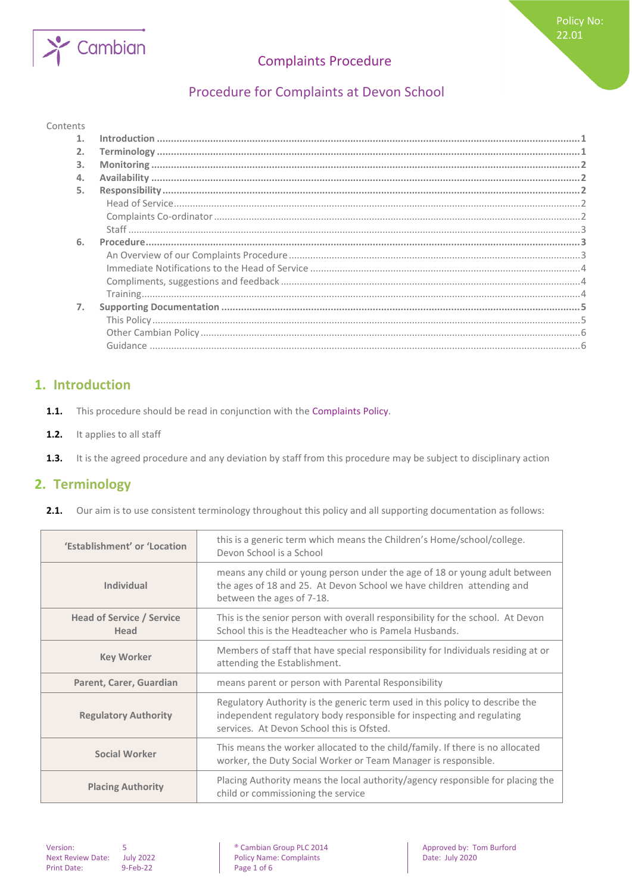# Cambian

# Complaints Procedure

# Procedure for Complaints at Devon School

#### Contents

| 3. |  |
|----|--|
|    |  |
| 5. |  |
|    |  |
|    |  |
|    |  |
| 6. |  |
|    |  |
|    |  |
|    |  |
|    |  |
| 7. |  |
|    |  |
|    |  |
|    |  |
|    |  |

## <span id="page-0-0"></span>**1. Introduction**

- **1.1.** This procedure should be read in conjunction with the Complaints Policy.
- 1.2. It applies to all staff
- <span id="page-0-1"></span>**1.3.** It is the agreed procedure and any deviation by staff from this procedure may be subject to disciplinary action

## **2. Terminology**

**2.1.** Our aim is to use consistent terminology throughout this policy and all supporting documentation as follows:

| 'Establishment' or 'Location             | this is a generic term which means the Children's Home/school/college.<br>Devon School is a School                                                                                                 |
|------------------------------------------|----------------------------------------------------------------------------------------------------------------------------------------------------------------------------------------------------|
| Individual                               | means any child or young person under the age of 18 or young adult between<br>the ages of 18 and 25. At Devon School we have children attending and<br>between the ages of 7-18.                   |
| <b>Head of Service / Service</b><br>Head | This is the senior person with overall responsibility for the school. At Devon<br>School this is the Headteacher who is Pamela Husbands.                                                           |
| <b>Key Worker</b>                        | Members of staff that have special responsibility for Individuals residing at or<br>attending the Establishment.                                                                                   |
| Parent, Carer, Guardian                  | means parent or person with Parental Responsibility                                                                                                                                                |
| <b>Regulatory Authority</b>              | Regulatory Authority is the generic term used in this policy to describe the<br>independent regulatory body responsible for inspecting and regulating<br>services. At Devon School this is Ofsted. |
| <b>Social Worker</b>                     | This means the worker allocated to the child/family. If there is no allocated<br>worker, the Duty Social Worker or Team Manager is responsible.                                                    |
| <b>Placing Authority</b>                 | Placing Authority means the local authority/agency responsible for placing the<br>child or commissioning the service                                                                               |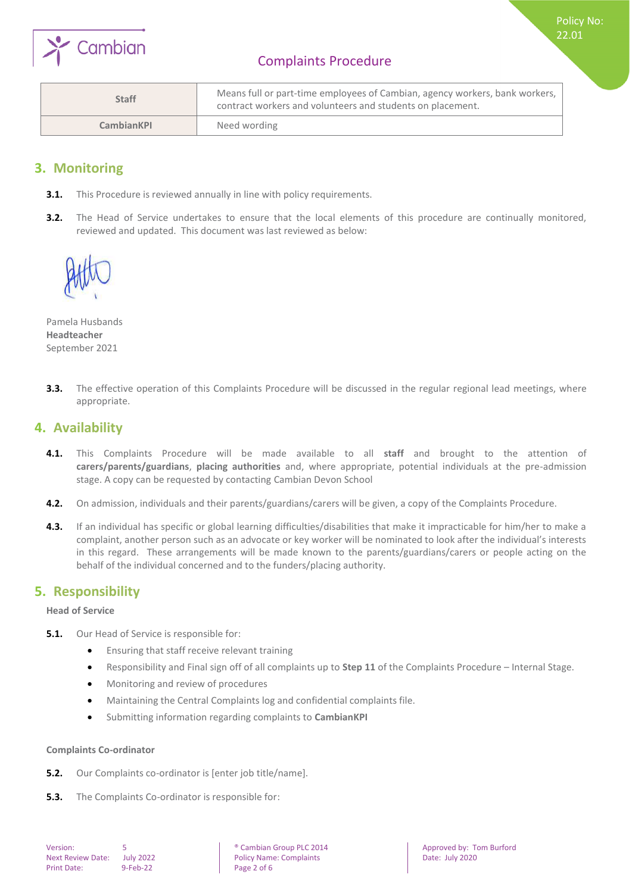

Policy No: 22.01

| <b>Staff</b>      | Means full or part-time employees of Cambian, agency workers, bank workers,  <br>contract workers and volunteers and students on placement. |
|-------------------|---------------------------------------------------------------------------------------------------------------------------------------------|
| <b>CambianKPI</b> | Need wording                                                                                                                                |

## <span id="page-1-0"></span>**3. Monitoring**

- **3.1.** This Procedure is reviewed annually in line with policy requirements.
- **3.2.** The Head of Service undertakes to ensure that the local elements of this procedure are continually monitored, reviewed and updated. This document was last reviewed as below:



Pamela Husbands **Headteacher** September 2021

**3.3.** The effective operation of this Complaints Procedure will be discussed in the regular regional lead meetings, where appropriate.

## <span id="page-1-1"></span>**4. Availability**

- **4.1.** This Complaints Procedure will be made available to all **staff** and brought to the attention of **carers/parents/guardians**, **placing authorities** and, where appropriate, potential individuals at the pre-admission stage. A copy can be requested by contacting Cambian Devon School
- **4.2.** On admission, individuals and their parents/guardians/carers will be given, a copy of the Complaints Procedure.
- **4.3.** If an individual has specific or global learning difficulties/disabilities that make it impracticable for him/her to make a complaint, another person such as an advocate or key worker will be nominated to look after the individual's interests in this regard. These arrangements will be made known to the parents/guardians/carers or people acting on the behalf of the individual concerned and to the funders/placing authority.

## <span id="page-1-2"></span>**5. Responsibility**

<span id="page-1-3"></span>**Head of Service**

- **5.1.** Our Head of Service is responsible for:
	- Ensuring that staff receive relevant training
	- Responsibility and Final sign off of all complaints up to **Step 11** of the Complaints Procedure Internal Stage.
	- Monitoring and review of procedures
	- Maintaining the Central Complaints log and confidential complaints file.
	- Submitting information regarding complaints to **CambianKPI**

#### <span id="page-1-4"></span>**Complaints Co-ordinator**

- **5.2.** Our Complaints co-ordinator is [enter job title/name].
- **5.3.** The Complaints Co-ordinator is responsible for: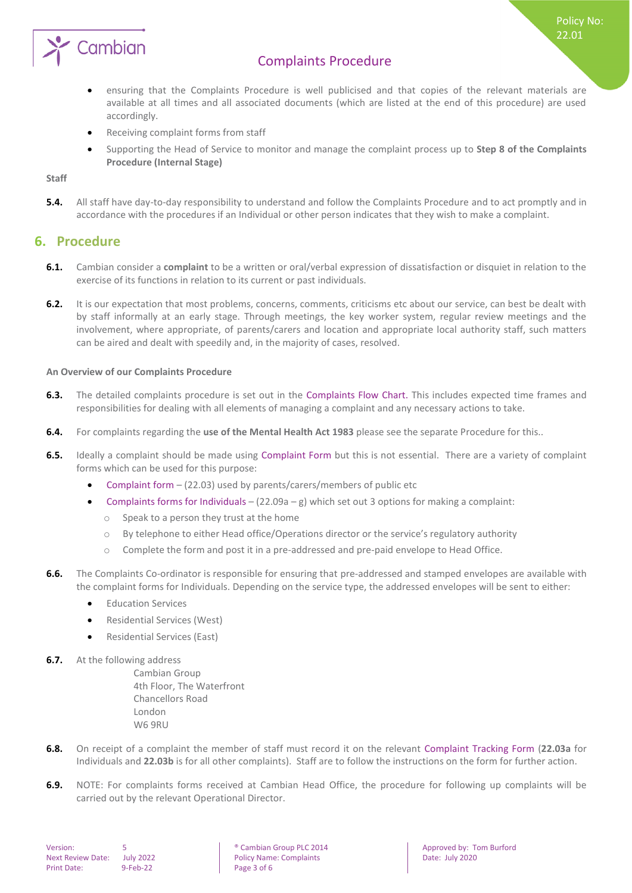

 ensuring that the Complaints Procedure is well publicised and that copies of the relevant materials are available at all times and all associated documents (which are listed at the end of this procedure) are used accordingly.

Policy No: 22.01

- Receiving complaint forms from staff
- Supporting the Head of Service to monitor and manage the complaint process up to **Step 8 of the Complaints Procedure (Internal Stage)**

<span id="page-2-0"></span>**Staff**

**5.4.** All staff have day-to-day responsibility to understand and follow the Complaints Procedure and to act promptly and in accordance with the procedures if an Individual or other person indicates that they wish to make a complaint.

### <span id="page-2-1"></span>**6. Procedure**

- **6.1.** Cambian consider a **complaint** to be a written or oral/verbal expression of dissatisfaction or disquiet in relation to the exercise of its functions in relation to its current or past individuals.
- **6.2.** It is our expectation that most problems, concerns, comments, criticisms etc about our service, can best be dealt with by staff informally at an early stage. Through meetings, the key worker system, regular review meetings and the involvement, where appropriate, of parents/carers and location and appropriate local authority staff, such matters can be aired and dealt with speedily and, in the majority of cases, resolved.

#### <span id="page-2-2"></span>**An Overview of our Complaints Procedure**

- **6.3.** The detailed complaints procedure is set out in the Complaints Flow Chart. This includes expected time frames and responsibilities for dealing with all elements of managing a complaint and any necessary actions to take.
- **6.4.** For complaints regarding the **use of the Mental Health Act 1983** please see the separate Procedure for this..
- **6.5.** Ideally a complaint should be made using Complaint Form but this is not essential. There are a variety of complaint forms which can be used for this purpose:
	- Complaint form (22.03) used by parents/carers/members of public etc
	- Complaints forms for Individuals  $(22.09a g)$  which set out 3 options for making a complaint:
		- o Speak to a person they trust at the home
		- o By telephone to either Head office/Operations director or the service's regulatory authority
		- o Complete the form and post it in a pre-addressed and pre-paid envelope to Head Office.
- **6.6.** The Complaints Co-ordinator is responsible for ensuring that pre-addressed and stamped envelopes are available with the complaint forms for Individuals. Depending on the service type, the addressed envelopes will be sent to either:
	- **•** Education Services
	- Residential Services (West)
	- Residential Services (East)
- **6.7.** At the following address

Cambian Group 4th Floor, The Waterfront Chancellors Road London W6 9RU

- **6.8.** On receipt of a complaint the member of staff must record it on the relevant Complaint Tracking Form (**22.03a** for Individuals and **22.03b** is for all other complaints). Staff are to follow the instructions on the form for further action.
- **6.9.** NOTE: For complaints forms received at Cambian Head Office, the procedure for following up complaints will be carried out by the relevant Operational Director.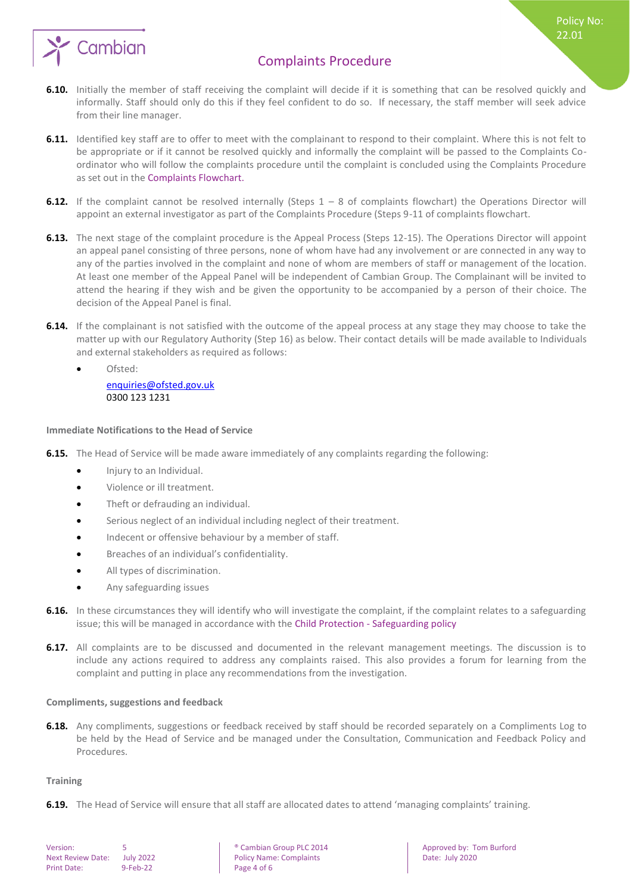

Policy No: 22.01

- **6.10.** Initially the member of staff receiving the complaint will decide if it is something that can be resolved quickly and informally. Staff should only do this if they feel confident to do so. If necessary, the staff member will seek advice from their line manager.
- **6.11.** Identified key staff are to offer to meet with the complainant to respond to their complaint. Where this is not felt to be appropriate or if it cannot be resolved quickly and informally the complaint will be passed to the Complaints Coordinator who will follow the complaints procedure until the complaint is concluded using the Complaints Procedure as set out in the Complaints Flowchart.
- **6.12.** If the complaint cannot be resolved internally (Steps 1 8 of complaints flowchart) the Operations Director will appoint an external investigator as part of the Complaints Procedure (Steps 9-11 of complaints flowchart.
- **6.13.** The next stage of the complaint procedure is the Appeal Process (Steps 12-15). The Operations Director will appoint an appeal panel consisting of three persons, none of whom have had any involvement or are connected in any way to any of the parties involved in the complaint and none of whom are members of staff or management of the location. At least one member of the Appeal Panel will be independent of Cambian Group. The Complainant will be invited to attend the hearing if they wish and be given the opportunity to be accompanied by a person of their choice. The decision of the Appeal Panel is final.
- **6.14.** If the complainant is not satisfied with the outcome of the appeal process at any stage they may choose to take the matter up with our Regulatory Authority (Step 16) as below. Their contact details will be made available to Individuals and external stakeholders as required as follows:
	- Ofsted: [enquiries@ofsted.gov.uk](mailto:enquiries@ofsted.gov.uk) 0300 123 1231

#### <span id="page-3-0"></span>**Immediate Notifications to the Head of Service**

- **6.15.** The Head of Service will be made aware immediately of any complaints regarding the following:
	- $\bullet$  Injury to an Individual.
	- Violence or ill treatment.
	- Theft or defrauding an individual.
	- Serious neglect of an individual including neglect of their treatment.
	- $\bullet$  Indecent or offensive behaviour by a member of staff.
	- Breaches of an individual's confidentiality.
	- All types of discrimination.
	- Any safeguarding issues
- **6.16.** In these circumstances they will identify who will investigate the complaint, if the complaint relates to a safeguarding issue; this will be managed in accordance with the Child Protection - Safeguarding policy
- **6.17.** All complaints are to be discussed and documented in the relevant management meetings. The discussion is to include any actions required to address any complaints raised. This also provides a forum for learning from the complaint and putting in place any recommendations from the investigation.

#### <span id="page-3-1"></span>**Compliments, suggestions and feedback**

**6.18.** Any compliments, suggestions or feedback received by staff should be recorded separately on a Compliments Log to be held by the Head of Service and be managed under the Consultation, Communication and Feedback Policy and Procedures.

#### <span id="page-3-2"></span>**Training**

**6.19.** The Head of Service will ensure that all staff are allocated dates to attend 'managing complaints' training.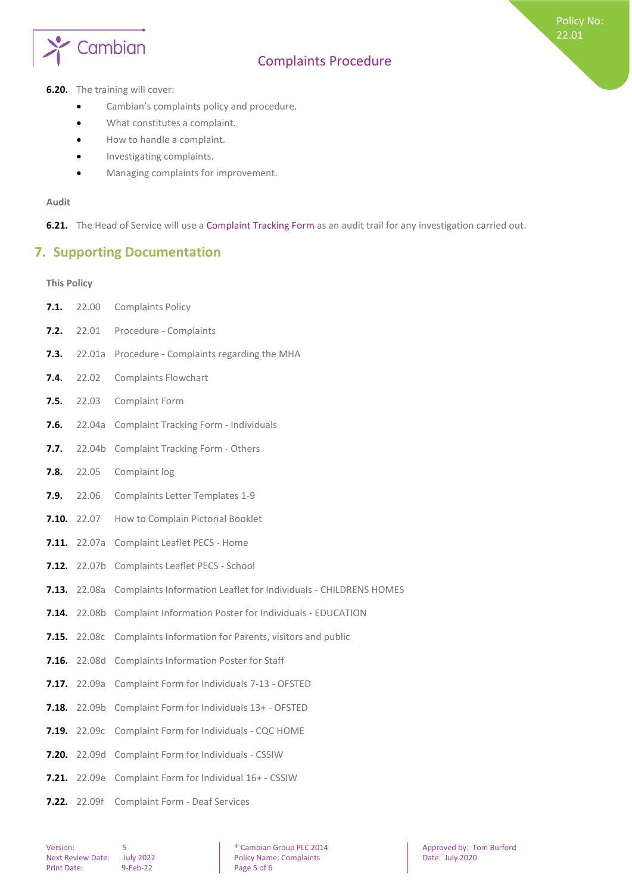

#### **6.20.** The training will cover:

- **•** Cambian's complaints policy and procedure.
- What constitutes a complaint.
- How to handle a complaint.
- **•** Investigating complaints.
- $\bullet$  Managing complaints for improvement.

#### **Audit**

<span id="page-4-0"></span>**6.21.** The Head of Service will use a Complaint Tracking Form as an audit trail for any investigation carried out.

## **7. Supporting Documentation**

#### <span id="page-4-1"></span>**This Policy**

**7.1.** 22.00 Complaints Policy **7.2.** 22.01 Procedure - Complaints **7.3.** 22.01a Procedure - Complaints regarding the MHA **7.4.** 22.02 Complaints Flowchart **7.5.** 22.03 Complaint Form **7.6.** 22.04a Complaint Tracking Form - Individuals **7.7.** 22.04b Complaint Tracking Form - Others **7.8.** 22.05 Complaint log **7.9.** 22.06 Complaints Letter Templates 1-9 **7.10.** 22.07 How to Complain Pictorial Booklet **7.11.** 22.07a Complaint Leaflet PECS - Home **7.12.** 22.07b Complaints Leaflet PECS - School **7.13.** 22.08a Complaints Information Leaflet for Individuals - CHILDRENS HOMES **7.14.** 22.08b Complaint Information Poster for Individuals - EDUCATION **7.15.** 22.08c Complaints Information for Parents, visitors and public **7.16.** 22.08d Complaints Information Poster for Staff **7.17.** 22.09a Complaint Form for Individuals 7-13 - OFSTED **7.18.** 22.09b Complaint Form for Individuals 13+ - OFSTED **7.19.** 22.09c Complaint Form for Individuals - CQC HOME **7.20.** 22.09d Complaint Form for Individuals - CSSIW **7.21.** 22.09e Complaint Form for Individual 16+ - CSSIW **7.22.** 22.09f Complaint Form - Deaf Services